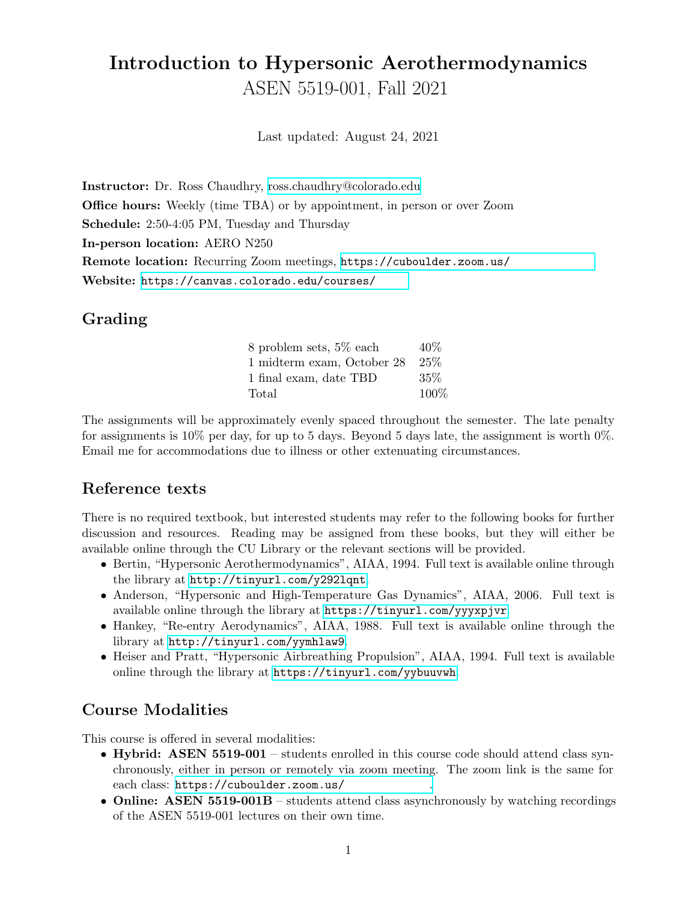# Introduction to Hypersonic Aerothermodynamics ASEN 5519-001, Fall 2021

Last updated: August 24, 2021

Instructor: Dr. Ross Chaudhry, [ross.chaudhry@colorado.edu](mailto:ross.chaudhry@colorado.edu) Office hours: Weekly (time TBA) or by appointment, in person or over Zoom Schedule: 2:50-4:05 PM, Tuesday and Thursday In-person location: AERO N250 Remote location: Recurring Zoom meetings, https://cuboulder.zoom.us/ Website: https://canvas.colorado.edu/courses/

## Grading

| 8 problem sets, 5% each    | $40\%$ |
|----------------------------|--------|
| 1 midterm exam, October 28 | 25%    |
| 1 final exam, date TBD     | 35%    |
| Total                      | 100%   |

The assignments will be approximately evenly spaced throughout the semester. The late penalty for assignments is  $10\%$  per day, for up to 5 days. Beyond 5 days late, the assignment is worth  $0\%$ . Email me for accommodations due to illness or other extenuating circumstances.

#### Reference texts

There is no required textbook, but interested students may refer to the following books for further discussion and resources. Reading may be assigned from these books, but they will either be available online through the CU Library or the relevant sections will be provided.

- Bertin, "Hypersonic Aerothermodynamics", AIAA, 1994. Full text is available online through the library at <http://tinyurl.com/y292lqnt>.
- Anderson, "Hypersonic and High-Temperature Gas Dynamics", AIAA, 2006. Full text is available online through the library at <https://tinyurl.com/yyyxpjvr>.
- Hankey, "Re-entry Aerodynamics", AIAA, 1988. Full text is available online through the library at <http://tinyurl.com/yymhlaw9>.
- Heiser and Pratt, "Hypersonic Airbreathing Propulsion", AIAA, 1994. Full text is available online through the library at <https://tinyurl.com/yybuuvwh>.

## Course Modalities

This course is offered in several modalities:

- Hybrid: ASEN 5519-001 students enrolled in this course code should attend class synchronously, either in person or remotely via zoom meeting. The zoom link is the same for each class: https://cuboulder.zoom.us/
- Online: ASEN 5519-001B students attend class asynchronously by watching recordings of the ASEN 5519-001 lectures on their own time.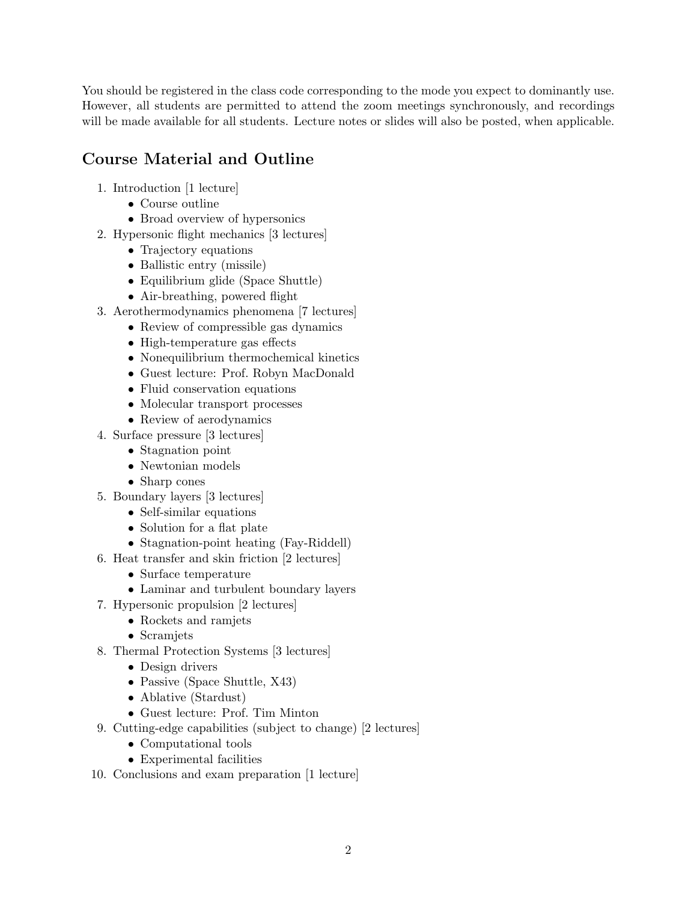You should be registered in the class code corresponding to the mode you expect to dominantly use. However, all students are permitted to attend the zoom meetings synchronously, and recordings will be made available for all students. Lecture notes or slides will also be posted, when applicable.

## Course Material and Outline

- 1. Introduction [1 lecture]
	- Course outline
	- Broad overview of hypersonics
- 2. Hypersonic flight mechanics [3 lectures]
	- Trajectory equations
	- Ballistic entry (missile)
	- Equilibrium glide (Space Shuttle)
	- Air-breathing, powered flight
- 3. Aerothermodynamics phenomena [7 lectures]
	- Review of compressible gas dynamics
	- High-temperature gas effects
	- Nonequilibrium thermochemical kinetics
	- Guest lecture: Prof. Robyn MacDonald
	- Fluid conservation equations
	- Molecular transport processes
	- Review of aerodynamics
- 4. Surface pressure [3 lectures]
	- Stagnation point
	- Newtonian models
	- Sharp cones
- 5. Boundary layers [3 lectures]
	- Self-similar equations
	- Solution for a flat plate
	- Stagnation-point heating (Fay-Riddell)
- 6. Heat transfer and skin friction [2 lectures]
	- Surface temperature
	- Laminar and turbulent boundary layers
- 7. Hypersonic propulsion [2 lectures]
	- Rockets and ramjets
	- Scramjets
- 8. Thermal Protection Systems [3 lectures]
	- Design drivers
	- Passive (Space Shuttle, X43)
	- Ablative (Stardust)
	- Guest lecture: Prof. Tim Minton
- 9. Cutting-edge capabilities (subject to change) [2 lectures]
	- Computational tools
	- Experimental facilities
- 10. Conclusions and exam preparation [1 lecture]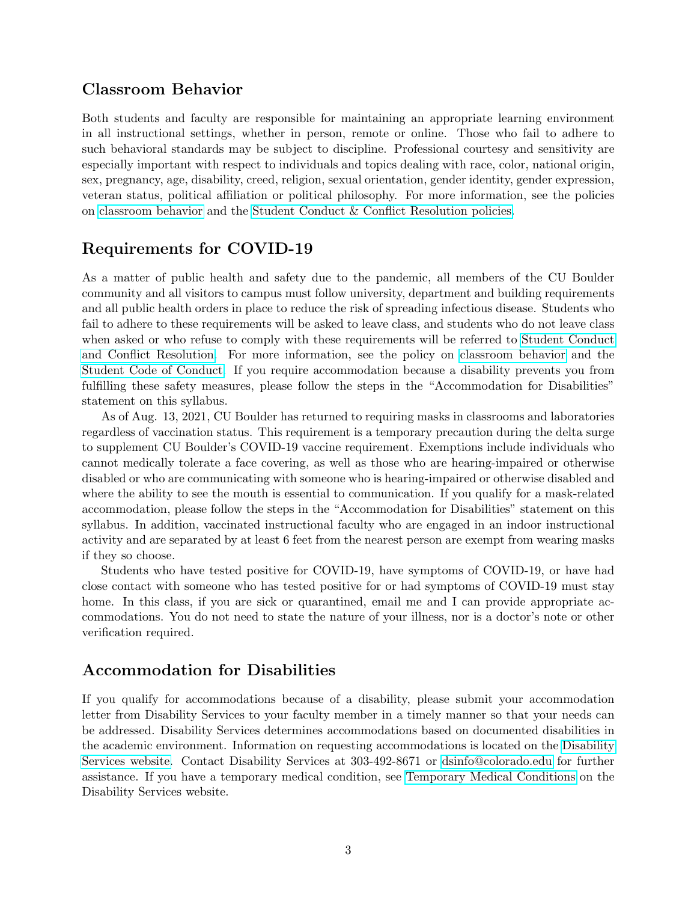#### Classroom Behavior

Both students and faculty are responsible for maintaining an appropriate learning environment in all instructional settings, whether in person, remote or online. Those who fail to adhere to such behavioral standards may be subject to discipline. Professional courtesy and sensitivity are especially important with respect to individuals and topics dealing with race, color, national origin, sex, pregnancy, age, disability, creed, religion, sexual orientation, gender identity, gender expression, veteran status, political affiliation or political philosophy. For more information, see the policies on [classroom behavior](http://www.colorado.edu/policies/student-classroom-and-course-related-behavior) and the [Student Conduct & Conflict Resolution policies.](https://www.colorado.edu/sccr/student-conduct)

#### Requirements for COVID-19

As a matter of public health and safety due to the pandemic, all members of the CU Boulder community and all visitors to campus must follow university, department and building requirements and all public health orders in place to reduce the risk of spreading infectious disease. Students who fail to adhere to these requirements will be asked to leave class, and students who do not leave class when asked or who refuse to comply with these requirements will be referred to [Student Conduct](https://www.colorado.edu/sccr/) [and Conflict Resolution.](https://www.colorado.edu/sccr/) For more information, see the policy on [classroom behavior](http://www.colorado.edu/policies/student-classroom-and-course-related-behavior) and the [Student Code of Conduct.](http://www.colorado.edu/osccr/) If you require accommodation because a disability prevents you from fulfilling these safety measures, please follow the steps in the "Accommodation for Disabilities" statement on this syllabus.

As of Aug. 13, 2021, CU Boulder has returned to requiring masks in classrooms and laboratories regardless of vaccination status. This requirement is a temporary precaution during the delta surge to supplement CU Boulder's COVID-19 vaccine requirement. Exemptions include individuals who cannot medically tolerate a face covering, as well as those who are hearing-impaired or otherwise disabled or who are communicating with someone who is hearing-impaired or otherwise disabled and where the ability to see the mouth is essential to communication. If you qualify for a mask-related accommodation, please follow the steps in the "Accommodation for Disabilities" statement on this syllabus. In addition, vaccinated instructional faculty who are engaged in an indoor instructional activity and are separated by at least 6 feet from the nearest person are exempt from wearing masks if they so choose.

Students who have tested positive for COVID-19, have symptoms of COVID-19, or have had close contact with someone who has tested positive for or had symptoms of COVID-19 must stay home. In this class, if you are sick or quarantined, email me and I can provide appropriate accommodations. You do not need to state the nature of your illness, nor is a doctor's note or other verification required.

#### Accommodation for Disabilities

If you qualify for accommodations because of a disability, please submit your accommodation letter from Disability Services to your faculty member in a timely manner so that your needs can be addressed. Disability Services determines accommodations based on documented disabilities in the academic environment. Information on requesting accommodations is located on the [Disability](https://www.colorado.edu/disabilityservices/) [Services website.](https://www.colorado.edu/disabilityservices/) Contact Disability Services at 303-492-8671 or [dsinfo@colorado.edu](mailto:dsinfo@colorado.edu) for further assistance. If you have a temporary medical condition, see [Temporary Medical Conditions](http://www.colorado.edu/disabilityservices/students/temporary-medical-conditions) on the Disability Services website.